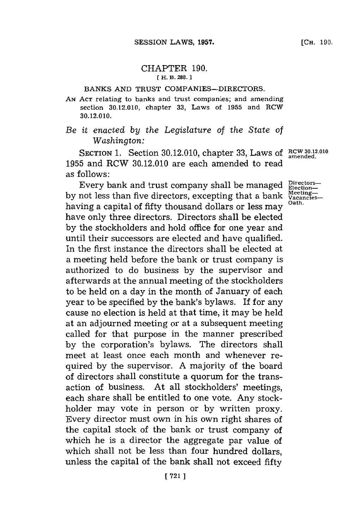## CHAPTER **190. [ H. B. 288.]1**

## **BANKS AND** TRUST COMPANIES-DIRECTORS.

## **AN ACT** relating to banks and trust companies; and amending **section 30.12.010, chapter 33, Laws of 1955 and RCW 30. 12.010.**

## *Be it enacted by the Legislature of the State of Washington:*

SECTION 1. Section 30.12.010, chapter 33, Laws of RCW 30.12.010 **1955** and RCW **30.12.010** are each amended to read as follows:

Every bank and trust company shall be managed **Election**by not less than five directors, excepting that a bank Vacancieshaving a capital of fifty thousand dollars or less may have only three directors. Directors shall be elected **by** the stockholders and hold office for one year and until their successors are elected and have qualified. In the first instance the directors shall be elected at a meeting held before the bank or trust company is authorized to do business **by** the supervisor and afterwards at the annual meeting of the stockholders to be held on a day in the month of January of each year to be specified **by** the bank's bylaws. If **for** any cause no election is held at that time, it may be held at an adjourned meeting or at a subsequent meeting called for that purpose in the manner prescribed **by** the corporation's bylaws. The directors shall meet at least once each month and whenever required **by** the supervisor. **A** majority of the board of directors shall constitute a quorum for the transaction of business. At all stockholders' meetings, each share shall he entitled to one vote. Any stockholder may vote in person or **by** written proxy. Every director must own in his own right shares of the capital stock of the bank or trust company of which he is a director the aggregate par value of which shall not be less than four hundred dollars, unless the capital of the bank shall not exceed fifty